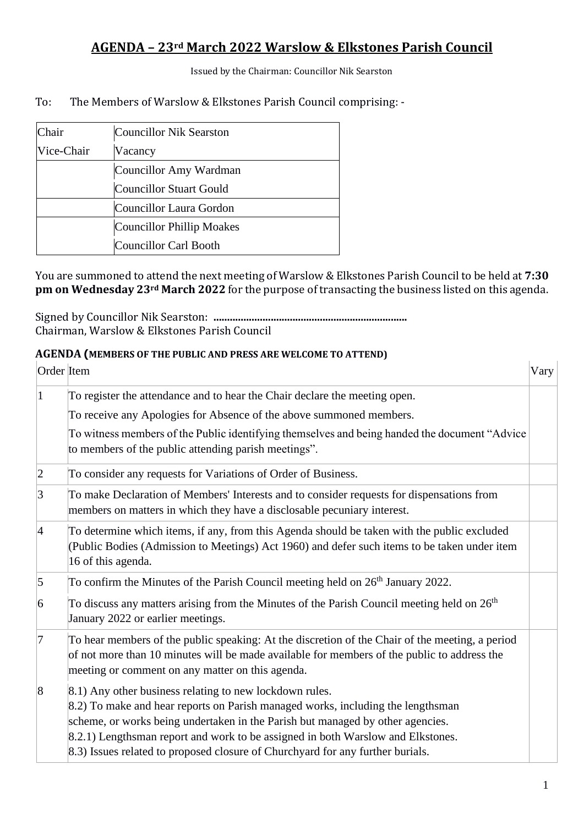Issued by the Chairman: Councillor Nik Searston

To: The Members of Warslow & Elkstones Parish Council comprising: -

| Chair      | <b>Councillor Nik Searston</b> |
|------------|--------------------------------|
| Vice-Chair | Vacancy                        |
|            | Councillor Amy Wardman         |
|            | Councillor Stuart Gould        |
|            | Councillor Laura Gordon        |
|            | Councillor Phillip Moakes      |
|            | Councillor Carl Booth          |

You are summoned to attend the next meeting of Warslow & Elkstones Parish Council to be held at **7:30 pm on Wednesday 23rd March 2022** for the purpose of transacting the business listed on this agenda.

Signed by Councillor Nik Searston: **.......................................................................** Chairman, Warslow & Elkstones Parish Council

#### **AGENDA (MEMBERS OF THE PUBLIC AND PRESS ARE WELCOME TO ATTEND)**

| Order Item      |                                                                                                                                                                                                                                                                                                                                                                                                   | Vary |
|-----------------|---------------------------------------------------------------------------------------------------------------------------------------------------------------------------------------------------------------------------------------------------------------------------------------------------------------------------------------------------------------------------------------------------|------|
| 1               | To register the attendance and to hear the Chair declare the meeting open.<br>To receive any Apologies for Absence of the above summoned members.<br>To witness members of the Public identifying themselves and being handed the document "Advice"<br>to members of the public attending parish meetings".                                                                                       |      |
| $ 2\rangle$     | To consider any requests for Variations of Order of Business.                                                                                                                                                                                                                                                                                                                                     |      |
| 3               | To make Declaration of Members' Interests and to consider requests for dispensations from<br>members on matters in which they have a disclosable pecuniary interest.                                                                                                                                                                                                                              |      |
| $\vert 4$       | To determine which items, if any, from this Agenda should be taken with the public excluded<br>(Public Bodies (Admission to Meetings) Act 1960) and defer such items to be taken under item<br>16 of this agenda.                                                                                                                                                                                 |      |
| $\vert$ 5       | To confirm the Minutes of the Parish Council meeting held on 26 <sup>th</sup> January 2022.                                                                                                                                                                                                                                                                                                       |      |
| $\vert 6 \vert$ | To discuss any matters arising from the Minutes of the Parish Council meeting held on $26th$<br>January 2022 or earlier meetings.                                                                                                                                                                                                                                                                 |      |
| 7               | To hear members of the public speaking: At the discretion of the Chair of the meeting, a period<br>of not more than 10 minutes will be made available for members of the public to address the<br>meeting or comment on any matter on this agenda.                                                                                                                                                |      |
| $\vert 8$       | 8.1) Any other business relating to new lockdown rules.<br>8.2) To make and hear reports on Parish managed works, including the lengthsman<br>scheme, or works being undertaken in the Parish but managed by other agencies.<br>8.2.1) Lengthsman report and work to be assigned in both Warslow and Elkstones.<br>8.3) Issues related to proposed closure of Churchyard for any further burials. |      |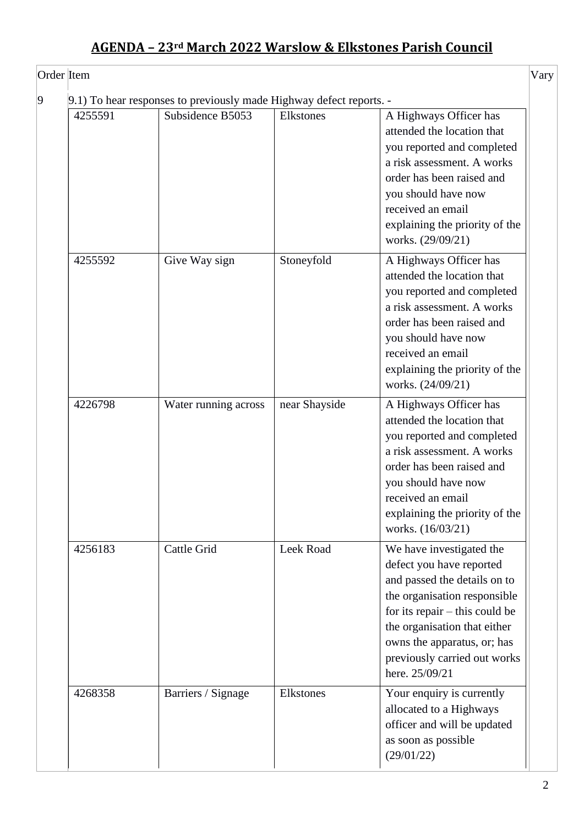| 4255591 | 9.1) To hear responses to previously made Highway defect reports. -<br>Subsidence B5053 | Elkstones     | A Highways Officer has<br>attended the location that<br>you reported and completed<br>a risk assessment. A works<br>order has been raised and<br>you should have now<br>received an email<br>explaining the priority of the<br>works. (29/09/21)                          |  |
|---------|-----------------------------------------------------------------------------------------|---------------|---------------------------------------------------------------------------------------------------------------------------------------------------------------------------------------------------------------------------------------------------------------------------|--|
| 4255592 | Give Way sign                                                                           | Stoneyfold    | A Highways Officer has<br>attended the location that<br>you reported and completed<br>a risk assessment. A works<br>order has been raised and<br>you should have now<br>received an email<br>explaining the priority of the<br>works. (24/09/21)                          |  |
| 4226798 | Water running across                                                                    | near Shayside | A Highways Officer has<br>attended the location that<br>you reported and completed<br>a risk assessment. A works<br>order has been raised and<br>you should have now<br>received an email<br>explaining the priority of the<br>works. (16/03/21)                          |  |
| 4256183 | Cattle Grid                                                                             | Leek Road     | We have investigated the<br>defect you have reported<br>and passed the details on to<br>the organisation responsible<br>for its repair $-$ this could be<br>the organisation that either<br>owns the apparatus, or; has<br>previously carried out works<br>here. 25/09/21 |  |
| 4268358 | Barriers / Signage                                                                      | Elkstones     | Your enquiry is currently<br>allocated to a Highways<br>officer and will be updated<br>as soon as possible<br>(29/01/22)                                                                                                                                                  |  |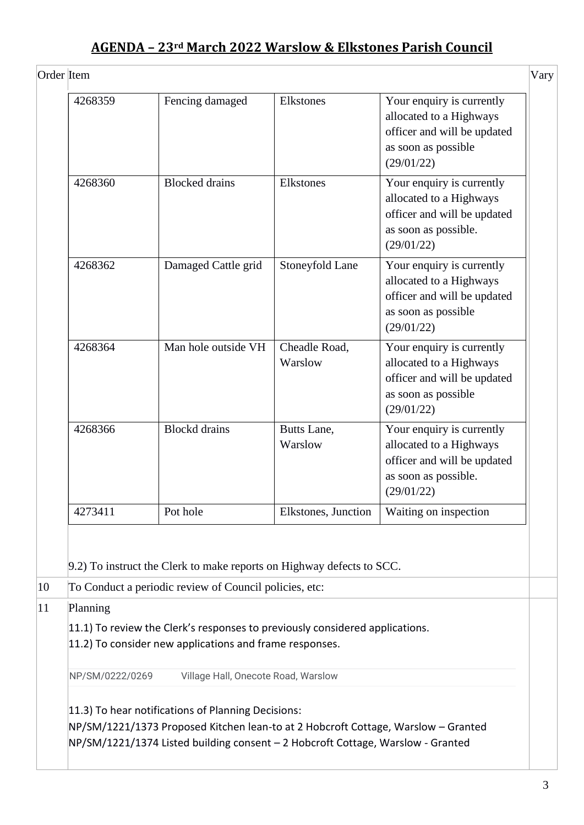| 4268359                                                                                                                                                      | Fencing damaged                                                                                                                                                                                                            | Elkstones                | Your enquiry is currently<br>allocated to a Highways<br>officer and will be updated<br>as soon as possible<br>(29/01/22)  |
|--------------------------------------------------------------------------------------------------------------------------------------------------------------|----------------------------------------------------------------------------------------------------------------------------------------------------------------------------------------------------------------------------|--------------------------|---------------------------------------------------------------------------------------------------------------------------|
| 4268360                                                                                                                                                      | <b>Blocked</b> drains                                                                                                                                                                                                      | Elkstones                | Your enquiry is currently<br>allocated to a Highways<br>officer and will be updated<br>as soon as possible.<br>(29/01/22) |
| 4268362                                                                                                                                                      | Damaged Cattle grid                                                                                                                                                                                                        | Stoneyfold Lane          | Your enquiry is currently<br>allocated to a Highways<br>officer and will be updated<br>as soon as possible<br>(29/01/22)  |
| 4268364                                                                                                                                                      | Man hole outside VH                                                                                                                                                                                                        | Cheadle Road,<br>Warslow | Your enquiry is currently<br>allocated to a Highways<br>officer and will be updated<br>as soon as possible<br>(29/01/22)  |
| 4268366                                                                                                                                                      | <b>Blockd</b> drains                                                                                                                                                                                                       | Butts Lane,<br>Warslow   | Your enquiry is currently<br>allocated to a Highways<br>officer and will be updated<br>as soon as possible.<br>(29/01/22) |
| 4273411                                                                                                                                                      | Pot hole                                                                                                                                                                                                                   | Elkstones, Junction      | Waiting on inspection                                                                                                     |
|                                                                                                                                                              | 9.2) To instruct the Clerk to make reports on Highway defects to SCC.<br>To Conduct a periodic review of Council policies, etc:                                                                                            |                          |                                                                                                                           |
| Planning<br>$ 11.1\rangle$ To review the Clerk's responses to previously considered applications.<br>11.2) To consider new applications and frame responses. |                                                                                                                                                                                                                            |                          |                                                                                                                           |
| NP/SM/0222/0269<br>Village Hall, Onecote Road, Warslow                                                                                                       |                                                                                                                                                                                                                            |                          |                                                                                                                           |
|                                                                                                                                                              | 11.3) To hear notifications of Planning Decisions:<br>NP/SM/1221/1373 Proposed Kitchen lean-to at 2 Hobcroft Cottage, Warslow - Granted<br>NP/SM/1221/1374 Listed building consent - 2 Hobcroft Cottage, Warslow - Granted |                          |                                                                                                                           |